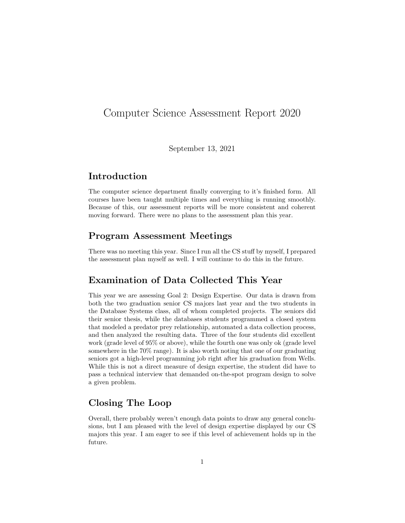## Computer Science Assessment Report 2020

September 13, 2021

### Introduction

The computer science department finally converging to it's finished form. All courses have been taught multiple times and everything is running smoothly. Because of this, our assessment reports will be more consistent and coherent moving forward. There were no plans to the assessment plan this year.

#### Program Assessment Meetings

There was no meeting this year. Since I run all the CS stuff by myself, I prepared the assessment plan myself as well. I will continue to do this in the future.

#### Examination of Data Collected This Year

This year we are assessing Goal 2: Design Expertise. Our data is drawn from both the two graduation senior CS majors last year and the two students in the Database Systems class, all of whom completed projects. The seniors did their senior thesis, while the databases students programmed a closed system that modeled a predator prey relationship, automated a data collection process, and then analyzed the resulting data. Three of the four students did excellent work (grade level of 95% or above), while the fourth one was only ok (grade level somewhere in the 70% range). It is also worth noting that one of our graduating seniors got a high-level programming job right after his graduation from Wells. While this is not a direct measure of design expertise, the student did have to pass a technical interview that demanded on-the-spot program design to solve a given problem.

#### Closing The Loop

Overall, there probably weren't enough data points to draw any general conclusions, but I am pleased with the level of design expertise displayed by our CS majors this year. I am eager to see if this level of achievement holds up in the future.